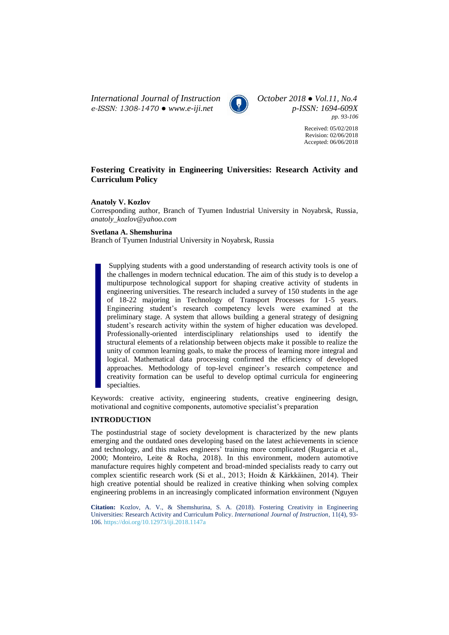*International Journal of Instruction October 2018 ● Vol.11, No.4 e-ISSN: 1308-1470 ● [www.e-iji.net](http://www.e-iji.net/) p-ISSN: 1694-609X*



*pp. 93-106*

Received: 05/02/2018 Revision: 02/06/2018 Accepted: 06/06/2018

# **Fostering Creativity in Engineering Universities: Research Activity and Curriculum Policy**

### **Anatoly V. Kozlov**

Corresponding author, Branch of Tyumen Industrial University in Noyabrsk, Russia, *anatoly\_kozlov@yahoo.com*

### **Svetlana A. Shemshurina**

Branch of Tyumen Industrial University in Noyabrsk, Russia

Supplying students with a good understanding of research activity tools is one of the challenges in modern technical education. The aim of this study is to develop a multipurpose technological support for shaping creative activity of students in engineering universities. The research included a survey of 150 students in the age of 18-22 majoring in Technology of Transport Processes for 1-5 years. Engineering student's research competency levels were examined at the preliminary stage. A system that allows building a general strategy of designing student's research activity within the system of higher education was developed. Professionally-oriented interdisciplinary relationships used to identify the structural elements of a relationship between objects make it possible to realize the unity of common learning goals, to make the process of learning more integral and logical. Mathematical data processing confirmed the efficiency of developed approaches. Methodology of top-level engineer's research competence and creativity formation can be useful to develop optimal curricula for engineering specialties.

Keywords: creative activity, engineering students, creative engineering design, motivational and cognitive components, automotive specialist's preparation

## **INTRODUCTION**

The postindustrial stage of society development is characterized by the new plants emerging and the outdated ones developing based on the latest achievements in science and technology, and this makes engineers' training more complicated (Rugarcia et al., 2000; Monteiro, Leite & Rocha, 2018). In this environment, modern automotive manufacture requires highly competent and broad-minded specialists ready to carry out complex scientific research work (Si et al., 2013; Hoidn & Kärkkäinen, 2014). Their high creative potential should be realized in creative thinking when solving complex engineering problems in an increasingly complicated information environment (Nguyen

**Citation:** Kozlov, A. V., & Shemshurina, S. A. (2018). Fostering Creativity in Engineering Universities: Research Activity and Curriculum Policy. *International Journal of Instruction*, 11(4), 93- 106. <https://doi.org/10.12973/iji.2018.1147a>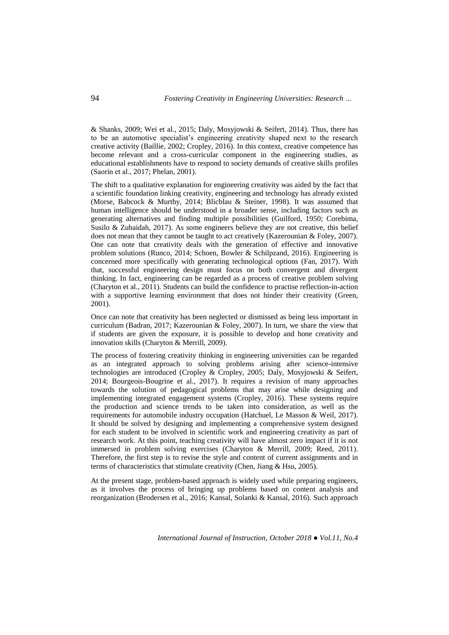& Shanks, 2009; Wei et al., 2015; Daly, Mosyjowski & Seifert, 2014). Thus, there has to be an automotive specialist's engineering creativity shaped next to the research creative activity (Baillie, 2002; Cropley, 2016). In this context, creative competence has become relevant and a cross-curricular component in the engineering studies, as educational establishments have to respond to society demands of creative skills profiles (Saorín et al., 2017; Phelan, 2001).

The shift to a qualitative explanation for engineering creativity was aided by the fact that a scientific foundation linking creativity, engineering and technology has already existed (Morse, Babcock & Murthy, 2014; Blicblau & Steiner, 1998). It was assumed that human intelligence should be understood in a broader sense, including factors such as generating alternatives and finding multiple possibilities (Guilford, 1950; Corebima, Susilo & Zubaidah, 2017). As some engineers believe they are not creative, this belief does not mean that they cannot be taught to act creatively (Kazerounian & Foley, 2007). One can note that creativity deals with the generation of effective and innovative problem solutions (Runco, 2014; Schoen, Bowler & Schilpzand, 2016). Engineering is concerned more specifically with generating technological options (Fan, 2017). With that, successful engineering design must focus on both convergent and divergent thinking. In fact, engineering can be regarded as a process of creative problem solving (Charyton et al., 2011). Students can build the confidence to practise reflection-in-action with a supportive learning environment that does not hinder their creativity (Green, 2001).

Once can note that creativity has been neglected or dismissed as being less important in curriculum (Badran, 2017; Kazerounian & Foley, 2007). In turn, we share the view that if students are given the exposure, it is possible to develop and hone creativity and innovation skills (Charyton & Merrill, 2009).

The process of fostering creativity thinking in engineering universities can be regarded as an integrated approach to solving problems arising after science-intensive technologies are introduced (Cropley & Cropley, 2005; Daly, Mosyjowski & Seifert, 2014; Bourgeois-Bougrine et al., 2017). It requires a revision of many approaches towards the solution of pedagogical problems that may arise while designing and implementing integrated engagement systems (Cropley, 2016). These systems require the production and science trends to be taken into consideration, as well as the requirements for automobile industry occupation (Hatchuel, Le Masson & Weil, 2017). It should be solved by designing and implementing a comprehensive system designed for each student to be involved in scientific work and engineering creativity as part of research work. At this point, teaching creativity will have almost zero impact if it is not immersed in problem solving exercises (Charyton & Merrill, 2009; Reed, 2011). Therefore, the first step is to revise the style and content of current assignments and in terms of characteristics that stimulate creativity (Chen, Jiang & Hsu, 2005).

At the present stage, problem-based approach is widely used while preparing engineers, as it involves the process of bringing up problems based on content analysis and reorganization (Brodersen et al., 2016; Kansal, Solanki & Kansal, 2016). Such approach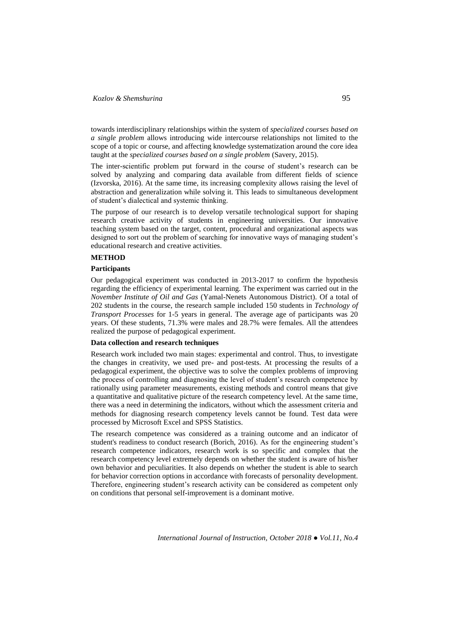towards interdisciplinary relationships within the system of *specialized courses based on a single problem* allows introducing wide intercourse relationships not limited to the scope of a topic or course, and affecting knowledge systematization around the core idea taught at the *specialized courses based on a single problem* (Savery, 2015).

The inter-scientific problem put forward in the course of student's research сan be solved by analyzing and comparing data available from different fields of science (Izvorska, 2016). At the same time, its increasing complexity allows raising the level of abstraction and generalization while solving it. This leads to simultaneous development of student's dialectical and systemic thinking.

The purpose of our research is to develop versatile technological support for shaping research creative activity of students in engineering universities. Our innovative teaching system based on the target, content, procedural and organizational aspects was designed to sort out the problem of searching for innovative ways of managing student's educational research and creative activities.

### **METHOD**

## **Participants**

Our pedagogical experiment was conducted in 2013-2017 to confirm the hypothesis regarding the efficiency of experimental learning. The experiment was carried out in the *November Institute of Oil and Gas* (Yamal-Nenets Autonomous District). Of a total of 202 students in the course, the research sample included 150 students in *Technology of Transport Processes* for 1-5 years in general. The average age of participants was 20 years. Of these students, 71.3% were males and 28.7% were females. All the attendees realized the purpose of pedagogical experiment.

## **Data collection and research techniques**

Research work included two main stages: experimental and control. Thus, to investigate the changes in creativity, we used pre- and post-tests. At processing the results of a pedagogical experiment, the objective was to solve the complex problems of improving the process of controlling and diagnosing the level of student's research competence by rationally using parameter measurements, existing methods and control means that give a quantitative and qualitative picture of the research competency level. At the same time, there was a need in determining the indicators, without which the assessment criteria and methods for diagnosing research competency levels cannot be found. Test data were processed by Microsoft Excel and SPSS Statistics.

The research competence was considered as a training outcome and an indicator of student's readiness to conduct research (Borich, 2016). As for the engineering student's research competence indicators, research work is so specific and complex that the research competency level extremely depends on whether the student is aware of his/her own behavior and peculiarities. It also depends on whether the student is able to search for behavior correction options in accordance with forecasts of personality development. Therefore, engineering student's research activity can be considered as competent only on conditions that personal self-improvement is a dominant motive.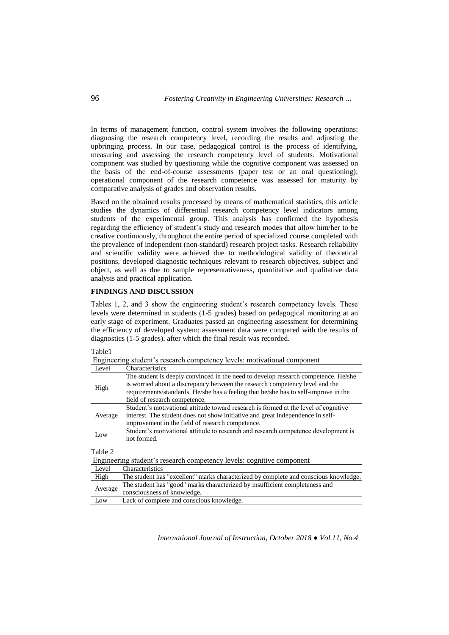In terms of management function, control system involves the following operations: diagnosing the research competency level, recording the results and adjusting the upbringing process. In our case, pedagogical control is the process of identifying, measuring and assessing the research competency level of students. Motivational component was studied by questioning while the cognitive component was assessed on the basis of the end-of-course assessments (paper test or an oral questioning); operational component of the research competence was assessed for maturity by comparative analysis of grades and observation results.

Based on the obtained results processed by means of mathematical statistics, this article studies the dynamics of differential research competency level indicators among students of the experimental group. This analysis has confirmed the hypothesis regarding the efficiency of student's study and research modes that allow him/her to be creative continuously, throughout the entire period of specialized course completed with the prevalence of independent (non-standard) research project tasks. Research reliability and scientific validity were achieved due to methodological validity of theoretical positions, developed diagnostic techniques relevant to research objectives, subject and object, as well as due to sample representativeness, quantitative and qualitative data analysis and practical application.

#### **FINDINGS AND DISCUSSION**

Tables 1, 2, and 3 show the engineering student's research competency levels. These levels were determined in students (1-5 grades) based on pedagogical monitoring at an early stage of experiment. Graduates passed an engineering assessment for determining the efficiency of developed system; assessment data were compared with the results of diagnostics (1-5 grades), after which the final result was recorded.

### Table1

Engineering student's research competency levels: motivational component

| Level                                                                 | Characteristics                                                                                                                                                                                                                                                                            |  |  |
|-----------------------------------------------------------------------|--------------------------------------------------------------------------------------------------------------------------------------------------------------------------------------------------------------------------------------------------------------------------------------------|--|--|
| High                                                                  | The student is deeply convinced in the need to develop research competence. He/she<br>is worried about a discrepancy between the research competency level and the<br>requirements/standards. He/she has a feeling that he/she has to self-improve in the<br>field of research competence. |  |  |
| Average                                                               | Student's motivational attitude toward research is formed at the level of cognitive<br>interest. The student does not show initiative and great independence in self-<br>improvement in the field of research competence.                                                                  |  |  |
| Low                                                                   | Student's motivational attitude to research and research competence development is<br>not formed.                                                                                                                                                                                          |  |  |
| Table 2                                                               |                                                                                                                                                                                                                                                                                            |  |  |
| Engineering student's research competency levels: cognitive component |                                                                                                                                                                                                                                                                                            |  |  |
| Level                                                                 | Characteristics                                                                                                                                                                                                                                                                            |  |  |
| High                                                                  | The student has "excellent" marks characterized by complete and conscious knowledge.                                                                                                                                                                                                       |  |  |
| Average                                                               | The student has "good" marks characterized by insufficient completeness and<br>consciousness of knowledge.                                                                                                                                                                                 |  |  |

Low Lack of complete and conscious knowledge.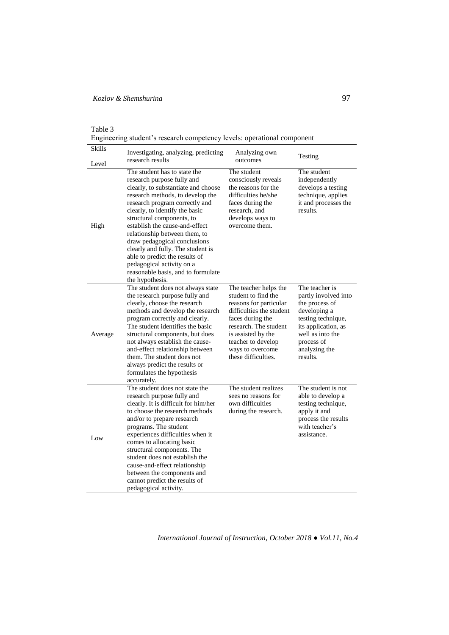| abie |  |
|------|--|
|------|--|

Engineering student's research competency levels: operational component

| <b>Skills</b> | Investigating, analyzing, predicting<br>research results                                                                                                                                                                                                                                                                                                                                                                                                                                               | Analyzing own<br>outcomes                                                                                                                                                                                                              | Testing                                                                                                                                                                              |
|---------------|--------------------------------------------------------------------------------------------------------------------------------------------------------------------------------------------------------------------------------------------------------------------------------------------------------------------------------------------------------------------------------------------------------------------------------------------------------------------------------------------------------|----------------------------------------------------------------------------------------------------------------------------------------------------------------------------------------------------------------------------------------|--------------------------------------------------------------------------------------------------------------------------------------------------------------------------------------|
| Level         |                                                                                                                                                                                                                                                                                                                                                                                                                                                                                                        |                                                                                                                                                                                                                                        |                                                                                                                                                                                      |
| High          | The student has to state the<br>research purpose fully and<br>clearly, to substantiate and choose<br>research methods, to develop the<br>research program correctly and<br>clearly, to identify the basic<br>structural components, to<br>establish the cause-and-effect<br>relationship between them, to<br>draw pedagogical conclusions<br>clearly and fully. The student is<br>able to predict the results of<br>pedagogical activity on a<br>reasonable basis, and to formulate<br>the hypothesis. | The student<br>consciously reveals<br>the reasons for the<br>difficulties he/she<br>faces during the<br>research, and<br>develops ways to<br>overcome them.                                                                            | The student<br>independently<br>develops a testing<br>technique, applies<br>it and processes the<br>results.                                                                         |
| Average       | The student does not always state<br>the research purpose fully and<br>clearly, choose the research<br>methods and develop the research<br>program correctly and clearly.<br>The student identifies the basic<br>structural components, but does<br>not always establish the cause-<br>and-effect relationship between<br>them. The student does not<br>always predict the results or<br>formulates the hypothesis<br>accurately.                                                                      | The teacher helps the<br>student to find the<br>reasons for particular<br>difficulties the student<br>faces during the<br>research. The student<br>is assisted by the<br>teacher to develop<br>ways to overcome<br>these difficulties. | The teacher is<br>partly involved into<br>the process of<br>developing a<br>testing technique,<br>its application, as<br>well as into the<br>process of<br>analyzing the<br>results. |
| Low           | The student does not state the<br>research purpose fully and<br>clearly. It is difficult for him/her<br>to choose the research methods<br>and/or to prepare research<br>programs. The student<br>experiences difficulties when it<br>comes to allocating basic<br>structural components. The<br>student does not establish the<br>cause-and-effect relationship<br>between the components and<br>cannot predict the results of<br>pedagogical activity.                                                | The student realizes<br>sees no reasons for<br>own difficulties<br>during the research.                                                                                                                                                | The student is not<br>able to develop a<br>testing technique,<br>apply it and<br>process the results<br>with teacher's<br>assistance.                                                |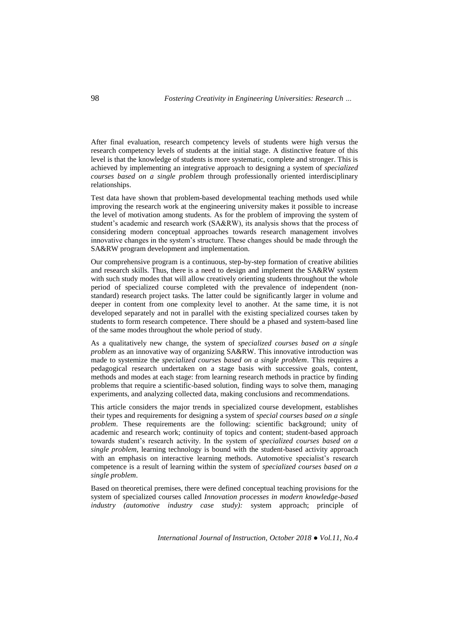After final evaluation, research competency levels of students were high versus the research competency levels of students at the initial stage. A distinctive feature of this level is that the knowledge of students is more systematic, complete and stronger. This is achieved by implementing an integrative approach to designing a system of *specialized courses based on a single problem* through professionally oriented interdisciplinary relationships.

Test data have shown that problem-based developmental teaching methods used while improving the research work at the engineering university makes it possible to increase the level of motivation among students. As for the problem of improving the system of student's academic and research work (SA&RW), its analysis shows that the process of considering modern conceptual approaches towards research management involves innovative changes in the system's structure. These changes should be made through the SA&RW program development and implementation.

Our comprehensive program is a continuous, step-by-step formation of creative abilities and research skills. Thus, there is a need to design and implement the SA&RW system with such study modes that will allow creatively orienting students throughout the whole period of specialized course completed with the prevalence of independent (nonstandard) research project tasks. The latter could be significantly larger in volume and deeper in content from one complexity level to another. At the same time, it is not developed separately and not in parallel with the existing specialized courses taken by students to form research competence. There should be a phased and system-based line of the same modes throughout the whole period of study.

As a qualitatively new change, the system of *specialized courses based on a single problem* as an innovative way of organizing SA&RW. This innovative introduction was made to systemize the *specialized courses based on a single problem*. This requires a pedagogical research undertaken on a stage basis with successive goals, content, methods and modes at each stage: from learning research methods in practice by finding problems that require a scientific-based solution, finding ways to solve them, managing experiments, and analyzing collected data, making conclusions and recommendations.

This article considers the major trends in specialized course development, establishes their types and requirements for designing a system of *special courses based on a single problem*. These requirements are the following: scientific background; unity of academic and research work; continuity of topics and content; student-based approach towards student's research activity. In the system of *specialized courses based on a single problem,* learning technology is bound with the student-based activity approach with an emphasis on interactive learning methods. Automotive specialist's research competence is a result of learning within the system of *specialized courses based on a single problem*.

Based on theoretical premises, there were defined conceptual teaching provisions for the system of specialized courses called *Innovation processes in modern knowledge-based industry (automotive industry case study):* system approach; principle of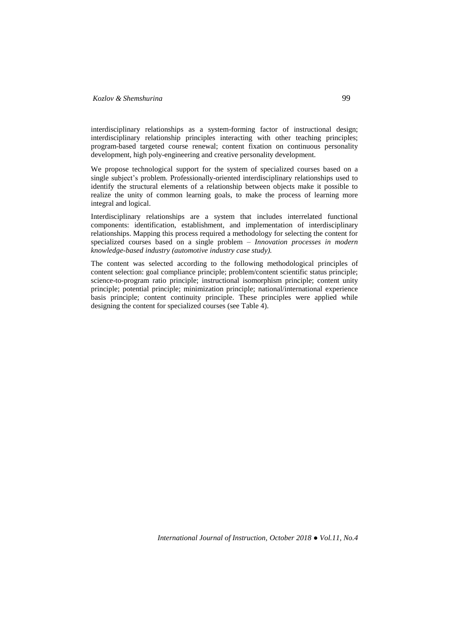interdisciplinary relationships as a system-forming factor of instructional design; interdisciplinary relationship principles interacting with other teaching principles; program-based targeted course renewal; content fixation on continuous personality development, high poly-engineering and creative personality development.

We propose technological support for the system of specialized courses based on a single subject's problem. Professionally-oriented interdisciplinary relationships used to identify the structural elements of a relationship between objects make it possible to realize the unity of common learning goals, to make the process of learning more integral and logical.

Interdisciplinary relationships are a system that includes interrelated functional components: identification, establishment, and implementation of interdisciplinary relationships. Mapping this process required a methodology for selecting the content for specialized courses based on a single problem – *Innovation processes in modern knowledge-based industry (automotive industry case study).*

The content was selected according to the following methodological principles of content selection: goal compliance principle; problem/content scientific status principle; science-to-program ratio principle; instructional isomorphism principle; content unity principle; potential principle; minimization principle; national/international experience basis principle; content continuity principle. These principles were applied while designing the content for specialized courses (see Table 4).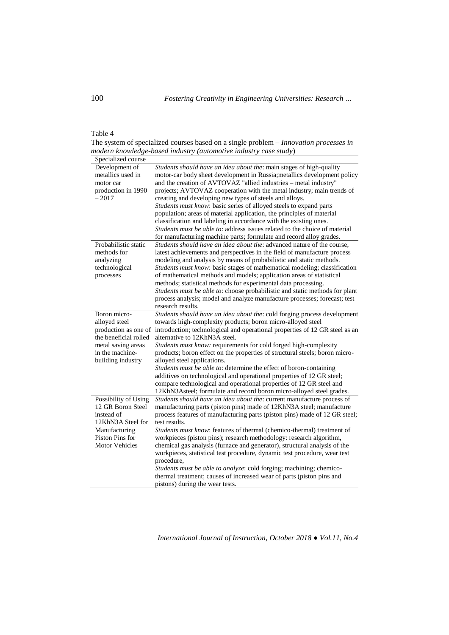## Table 4

The system of specialized courses based on a single problem – *Innovation processes in modern knowledge-based industry (automotive industry case study*)

| Students should have an idea about the: main stages of high-quality<br>Development of<br>metallics used in<br>motor-car body sheet development in Russia; metallics development policy<br>and the creation of AVTOVAZ "allied industries - metal industry"<br>motor car<br>projects; AVTOVAZ cooperation with the metal industry; main trends of<br>production in 1990<br>$-2017$<br>creating and developing new types of steels and alloys.<br>Students must know: basic series of alloyed steels to expand parts<br>population; areas of material application, the principles of material<br>classification and labeling in accordance with the existing ones.<br>Students must be able to: address issues related to the choice of material<br>for manufacturing machine parts; formulate and record alloy grades.<br>Probabilistic static<br>Students should have an idea about the: advanced nature of the course;<br>methods for<br>latest achievements and perspectives in the field of manufacture process<br>modeling and analysis by means of probabilistic and static methods.<br>analyzing<br>technological<br>Students must know: basic stages of mathematical modeling; classification<br>of mathematical methods and models; application areas of statistical<br>processes<br>methods; statistical methods for experimental data processing.<br>Students must be able to: choose probabilistic and static methods for plant<br>process analysis; model and analyze manufacture processes; forecast; test<br>research results.<br>Boron micro-<br>Students should have an idea about the: cold forging process development<br>alloyed steel<br>towards high-complexity products; boron micro-alloyed steel<br>production as one of introduction; technological and operational properties of 12 GR steel as an<br>the beneficial rolled<br>alternative to 12KhN3A steel.<br>metal saving areas<br>Students must know: requirements for cold forged high-complexity<br>in the machine-<br>products; boron effect on the properties of structural steels; boron micro-<br>building industry<br>alloyed steel applications.<br>Students must be able to: determine the effect of boron-containing<br>additives on technological and operational properties of 12 GR steel;<br>compare technological and operational properties of 12 GR steel and<br>12KhN3Asteel; formulate and record boron micro-alloyed steel grades.<br>Students should have an idea about the: current manufacture process of<br>Possibility of Using<br>12 GR Boron Steel<br>manufacturing parts (piston pins) made of 12KhN3A steel; manufacture<br>process features of manufacturing parts (piston pins) made of 12 GR steel;<br>instead of<br>12KhN3A Steel for<br>test results.<br>Manufacturing<br>Students must know: features of thermal (chemico-thermal) treatment of<br>Piston Pins for<br>workpieces (piston pins); research methodology: research algorithm,<br><b>Motor Vehicles</b><br>chemical gas analysis (furnace and generator), structural analysis of the<br>workpieces, statistical test procedure, dynamic test procedure, wear test<br>procedure, | Specialized course |                                                                     |
|-------------------------------------------------------------------------------------------------------------------------------------------------------------------------------------------------------------------------------------------------------------------------------------------------------------------------------------------------------------------------------------------------------------------------------------------------------------------------------------------------------------------------------------------------------------------------------------------------------------------------------------------------------------------------------------------------------------------------------------------------------------------------------------------------------------------------------------------------------------------------------------------------------------------------------------------------------------------------------------------------------------------------------------------------------------------------------------------------------------------------------------------------------------------------------------------------------------------------------------------------------------------------------------------------------------------------------------------------------------------------------------------------------------------------------------------------------------------------------------------------------------------------------------------------------------------------------------------------------------------------------------------------------------------------------------------------------------------------------------------------------------------------------------------------------------------------------------------------------------------------------------------------------------------------------------------------------------------------------------------------------------------------------------------------------------------------------------------------------------------------------------------------------------------------------------------------------------------------------------------------------------------------------------------------------------------------------------------------------------------------------------------------------------------------------------------------------------------------------------------------------------------------------------------------------------------------------------------------------------------------------------------------------------------------------------------------------------------------------------------------------------------------------------------------------------------------------------------------------------------------------------------------------------------------------------------------------------------------------------------------------------------------------------------------------------------------------------------------------------------------------------------------------------|--------------------|---------------------------------------------------------------------|
|                                                                                                                                                                                                                                                                                                                                                                                                                                                                                                                                                                                                                                                                                                                                                                                                                                                                                                                                                                                                                                                                                                                                                                                                                                                                                                                                                                                                                                                                                                                                                                                                                                                                                                                                                                                                                                                                                                                                                                                                                                                                                                                                                                                                                                                                                                                                                                                                                                                                                                                                                                                                                                                                                                                                                                                                                                                                                                                                                                                                                                                                                                                                                             |                    |                                                                     |
|                                                                                                                                                                                                                                                                                                                                                                                                                                                                                                                                                                                                                                                                                                                                                                                                                                                                                                                                                                                                                                                                                                                                                                                                                                                                                                                                                                                                                                                                                                                                                                                                                                                                                                                                                                                                                                                                                                                                                                                                                                                                                                                                                                                                                                                                                                                                                                                                                                                                                                                                                                                                                                                                                                                                                                                                                                                                                                                                                                                                                                                                                                                                                             |                    |                                                                     |
|                                                                                                                                                                                                                                                                                                                                                                                                                                                                                                                                                                                                                                                                                                                                                                                                                                                                                                                                                                                                                                                                                                                                                                                                                                                                                                                                                                                                                                                                                                                                                                                                                                                                                                                                                                                                                                                                                                                                                                                                                                                                                                                                                                                                                                                                                                                                                                                                                                                                                                                                                                                                                                                                                                                                                                                                                                                                                                                                                                                                                                                                                                                                                             |                    |                                                                     |
|                                                                                                                                                                                                                                                                                                                                                                                                                                                                                                                                                                                                                                                                                                                                                                                                                                                                                                                                                                                                                                                                                                                                                                                                                                                                                                                                                                                                                                                                                                                                                                                                                                                                                                                                                                                                                                                                                                                                                                                                                                                                                                                                                                                                                                                                                                                                                                                                                                                                                                                                                                                                                                                                                                                                                                                                                                                                                                                                                                                                                                                                                                                                                             |                    |                                                                     |
|                                                                                                                                                                                                                                                                                                                                                                                                                                                                                                                                                                                                                                                                                                                                                                                                                                                                                                                                                                                                                                                                                                                                                                                                                                                                                                                                                                                                                                                                                                                                                                                                                                                                                                                                                                                                                                                                                                                                                                                                                                                                                                                                                                                                                                                                                                                                                                                                                                                                                                                                                                                                                                                                                                                                                                                                                                                                                                                                                                                                                                                                                                                                                             |                    |                                                                     |
|                                                                                                                                                                                                                                                                                                                                                                                                                                                                                                                                                                                                                                                                                                                                                                                                                                                                                                                                                                                                                                                                                                                                                                                                                                                                                                                                                                                                                                                                                                                                                                                                                                                                                                                                                                                                                                                                                                                                                                                                                                                                                                                                                                                                                                                                                                                                                                                                                                                                                                                                                                                                                                                                                                                                                                                                                                                                                                                                                                                                                                                                                                                                                             |                    |                                                                     |
|                                                                                                                                                                                                                                                                                                                                                                                                                                                                                                                                                                                                                                                                                                                                                                                                                                                                                                                                                                                                                                                                                                                                                                                                                                                                                                                                                                                                                                                                                                                                                                                                                                                                                                                                                                                                                                                                                                                                                                                                                                                                                                                                                                                                                                                                                                                                                                                                                                                                                                                                                                                                                                                                                                                                                                                                                                                                                                                                                                                                                                                                                                                                                             |                    |                                                                     |
|                                                                                                                                                                                                                                                                                                                                                                                                                                                                                                                                                                                                                                                                                                                                                                                                                                                                                                                                                                                                                                                                                                                                                                                                                                                                                                                                                                                                                                                                                                                                                                                                                                                                                                                                                                                                                                                                                                                                                                                                                                                                                                                                                                                                                                                                                                                                                                                                                                                                                                                                                                                                                                                                                                                                                                                                                                                                                                                                                                                                                                                                                                                                                             |                    |                                                                     |
|                                                                                                                                                                                                                                                                                                                                                                                                                                                                                                                                                                                                                                                                                                                                                                                                                                                                                                                                                                                                                                                                                                                                                                                                                                                                                                                                                                                                                                                                                                                                                                                                                                                                                                                                                                                                                                                                                                                                                                                                                                                                                                                                                                                                                                                                                                                                                                                                                                                                                                                                                                                                                                                                                                                                                                                                                                                                                                                                                                                                                                                                                                                                                             |                    |                                                                     |
|                                                                                                                                                                                                                                                                                                                                                                                                                                                                                                                                                                                                                                                                                                                                                                                                                                                                                                                                                                                                                                                                                                                                                                                                                                                                                                                                                                                                                                                                                                                                                                                                                                                                                                                                                                                                                                                                                                                                                                                                                                                                                                                                                                                                                                                                                                                                                                                                                                                                                                                                                                                                                                                                                                                                                                                                                                                                                                                                                                                                                                                                                                                                                             |                    |                                                                     |
|                                                                                                                                                                                                                                                                                                                                                                                                                                                                                                                                                                                                                                                                                                                                                                                                                                                                                                                                                                                                                                                                                                                                                                                                                                                                                                                                                                                                                                                                                                                                                                                                                                                                                                                                                                                                                                                                                                                                                                                                                                                                                                                                                                                                                                                                                                                                                                                                                                                                                                                                                                                                                                                                                                                                                                                                                                                                                                                                                                                                                                                                                                                                                             |                    |                                                                     |
|                                                                                                                                                                                                                                                                                                                                                                                                                                                                                                                                                                                                                                                                                                                                                                                                                                                                                                                                                                                                                                                                                                                                                                                                                                                                                                                                                                                                                                                                                                                                                                                                                                                                                                                                                                                                                                                                                                                                                                                                                                                                                                                                                                                                                                                                                                                                                                                                                                                                                                                                                                                                                                                                                                                                                                                                                                                                                                                                                                                                                                                                                                                                                             |                    |                                                                     |
|                                                                                                                                                                                                                                                                                                                                                                                                                                                                                                                                                                                                                                                                                                                                                                                                                                                                                                                                                                                                                                                                                                                                                                                                                                                                                                                                                                                                                                                                                                                                                                                                                                                                                                                                                                                                                                                                                                                                                                                                                                                                                                                                                                                                                                                                                                                                                                                                                                                                                                                                                                                                                                                                                                                                                                                                                                                                                                                                                                                                                                                                                                                                                             |                    |                                                                     |
|                                                                                                                                                                                                                                                                                                                                                                                                                                                                                                                                                                                                                                                                                                                                                                                                                                                                                                                                                                                                                                                                                                                                                                                                                                                                                                                                                                                                                                                                                                                                                                                                                                                                                                                                                                                                                                                                                                                                                                                                                                                                                                                                                                                                                                                                                                                                                                                                                                                                                                                                                                                                                                                                                                                                                                                                                                                                                                                                                                                                                                                                                                                                                             |                    |                                                                     |
|                                                                                                                                                                                                                                                                                                                                                                                                                                                                                                                                                                                                                                                                                                                                                                                                                                                                                                                                                                                                                                                                                                                                                                                                                                                                                                                                                                                                                                                                                                                                                                                                                                                                                                                                                                                                                                                                                                                                                                                                                                                                                                                                                                                                                                                                                                                                                                                                                                                                                                                                                                                                                                                                                                                                                                                                                                                                                                                                                                                                                                                                                                                                                             |                    |                                                                     |
|                                                                                                                                                                                                                                                                                                                                                                                                                                                                                                                                                                                                                                                                                                                                                                                                                                                                                                                                                                                                                                                                                                                                                                                                                                                                                                                                                                                                                                                                                                                                                                                                                                                                                                                                                                                                                                                                                                                                                                                                                                                                                                                                                                                                                                                                                                                                                                                                                                                                                                                                                                                                                                                                                                                                                                                                                                                                                                                                                                                                                                                                                                                                                             |                    |                                                                     |
|                                                                                                                                                                                                                                                                                                                                                                                                                                                                                                                                                                                                                                                                                                                                                                                                                                                                                                                                                                                                                                                                                                                                                                                                                                                                                                                                                                                                                                                                                                                                                                                                                                                                                                                                                                                                                                                                                                                                                                                                                                                                                                                                                                                                                                                                                                                                                                                                                                                                                                                                                                                                                                                                                                                                                                                                                                                                                                                                                                                                                                                                                                                                                             |                    |                                                                     |
|                                                                                                                                                                                                                                                                                                                                                                                                                                                                                                                                                                                                                                                                                                                                                                                                                                                                                                                                                                                                                                                                                                                                                                                                                                                                                                                                                                                                                                                                                                                                                                                                                                                                                                                                                                                                                                                                                                                                                                                                                                                                                                                                                                                                                                                                                                                                                                                                                                                                                                                                                                                                                                                                                                                                                                                                                                                                                                                                                                                                                                                                                                                                                             |                    |                                                                     |
|                                                                                                                                                                                                                                                                                                                                                                                                                                                                                                                                                                                                                                                                                                                                                                                                                                                                                                                                                                                                                                                                                                                                                                                                                                                                                                                                                                                                                                                                                                                                                                                                                                                                                                                                                                                                                                                                                                                                                                                                                                                                                                                                                                                                                                                                                                                                                                                                                                                                                                                                                                                                                                                                                                                                                                                                                                                                                                                                                                                                                                                                                                                                                             |                    |                                                                     |
|                                                                                                                                                                                                                                                                                                                                                                                                                                                                                                                                                                                                                                                                                                                                                                                                                                                                                                                                                                                                                                                                                                                                                                                                                                                                                                                                                                                                                                                                                                                                                                                                                                                                                                                                                                                                                                                                                                                                                                                                                                                                                                                                                                                                                                                                                                                                                                                                                                                                                                                                                                                                                                                                                                                                                                                                                                                                                                                                                                                                                                                                                                                                                             |                    |                                                                     |
|                                                                                                                                                                                                                                                                                                                                                                                                                                                                                                                                                                                                                                                                                                                                                                                                                                                                                                                                                                                                                                                                                                                                                                                                                                                                                                                                                                                                                                                                                                                                                                                                                                                                                                                                                                                                                                                                                                                                                                                                                                                                                                                                                                                                                                                                                                                                                                                                                                                                                                                                                                                                                                                                                                                                                                                                                                                                                                                                                                                                                                                                                                                                                             |                    |                                                                     |
|                                                                                                                                                                                                                                                                                                                                                                                                                                                                                                                                                                                                                                                                                                                                                                                                                                                                                                                                                                                                                                                                                                                                                                                                                                                                                                                                                                                                                                                                                                                                                                                                                                                                                                                                                                                                                                                                                                                                                                                                                                                                                                                                                                                                                                                                                                                                                                                                                                                                                                                                                                                                                                                                                                                                                                                                                                                                                                                                                                                                                                                                                                                                                             |                    |                                                                     |
|                                                                                                                                                                                                                                                                                                                                                                                                                                                                                                                                                                                                                                                                                                                                                                                                                                                                                                                                                                                                                                                                                                                                                                                                                                                                                                                                                                                                                                                                                                                                                                                                                                                                                                                                                                                                                                                                                                                                                                                                                                                                                                                                                                                                                                                                                                                                                                                                                                                                                                                                                                                                                                                                                                                                                                                                                                                                                                                                                                                                                                                                                                                                                             |                    |                                                                     |
|                                                                                                                                                                                                                                                                                                                                                                                                                                                                                                                                                                                                                                                                                                                                                                                                                                                                                                                                                                                                                                                                                                                                                                                                                                                                                                                                                                                                                                                                                                                                                                                                                                                                                                                                                                                                                                                                                                                                                                                                                                                                                                                                                                                                                                                                                                                                                                                                                                                                                                                                                                                                                                                                                                                                                                                                                                                                                                                                                                                                                                                                                                                                                             |                    |                                                                     |
|                                                                                                                                                                                                                                                                                                                                                                                                                                                                                                                                                                                                                                                                                                                                                                                                                                                                                                                                                                                                                                                                                                                                                                                                                                                                                                                                                                                                                                                                                                                                                                                                                                                                                                                                                                                                                                                                                                                                                                                                                                                                                                                                                                                                                                                                                                                                                                                                                                                                                                                                                                                                                                                                                                                                                                                                                                                                                                                                                                                                                                                                                                                                                             |                    |                                                                     |
|                                                                                                                                                                                                                                                                                                                                                                                                                                                                                                                                                                                                                                                                                                                                                                                                                                                                                                                                                                                                                                                                                                                                                                                                                                                                                                                                                                                                                                                                                                                                                                                                                                                                                                                                                                                                                                                                                                                                                                                                                                                                                                                                                                                                                                                                                                                                                                                                                                                                                                                                                                                                                                                                                                                                                                                                                                                                                                                                                                                                                                                                                                                                                             |                    |                                                                     |
|                                                                                                                                                                                                                                                                                                                                                                                                                                                                                                                                                                                                                                                                                                                                                                                                                                                                                                                                                                                                                                                                                                                                                                                                                                                                                                                                                                                                                                                                                                                                                                                                                                                                                                                                                                                                                                                                                                                                                                                                                                                                                                                                                                                                                                                                                                                                                                                                                                                                                                                                                                                                                                                                                                                                                                                                                                                                                                                                                                                                                                                                                                                                                             |                    |                                                                     |
|                                                                                                                                                                                                                                                                                                                                                                                                                                                                                                                                                                                                                                                                                                                                                                                                                                                                                                                                                                                                                                                                                                                                                                                                                                                                                                                                                                                                                                                                                                                                                                                                                                                                                                                                                                                                                                                                                                                                                                                                                                                                                                                                                                                                                                                                                                                                                                                                                                                                                                                                                                                                                                                                                                                                                                                                                                                                                                                                                                                                                                                                                                                                                             |                    |                                                                     |
|                                                                                                                                                                                                                                                                                                                                                                                                                                                                                                                                                                                                                                                                                                                                                                                                                                                                                                                                                                                                                                                                                                                                                                                                                                                                                                                                                                                                                                                                                                                                                                                                                                                                                                                                                                                                                                                                                                                                                                                                                                                                                                                                                                                                                                                                                                                                                                                                                                                                                                                                                                                                                                                                                                                                                                                                                                                                                                                                                                                                                                                                                                                                                             |                    |                                                                     |
|                                                                                                                                                                                                                                                                                                                                                                                                                                                                                                                                                                                                                                                                                                                                                                                                                                                                                                                                                                                                                                                                                                                                                                                                                                                                                                                                                                                                                                                                                                                                                                                                                                                                                                                                                                                                                                                                                                                                                                                                                                                                                                                                                                                                                                                                                                                                                                                                                                                                                                                                                                                                                                                                                                                                                                                                                                                                                                                                                                                                                                                                                                                                                             |                    |                                                                     |
|                                                                                                                                                                                                                                                                                                                                                                                                                                                                                                                                                                                                                                                                                                                                                                                                                                                                                                                                                                                                                                                                                                                                                                                                                                                                                                                                                                                                                                                                                                                                                                                                                                                                                                                                                                                                                                                                                                                                                                                                                                                                                                                                                                                                                                                                                                                                                                                                                                                                                                                                                                                                                                                                                                                                                                                                                                                                                                                                                                                                                                                                                                                                                             |                    |                                                                     |
|                                                                                                                                                                                                                                                                                                                                                                                                                                                                                                                                                                                                                                                                                                                                                                                                                                                                                                                                                                                                                                                                                                                                                                                                                                                                                                                                                                                                                                                                                                                                                                                                                                                                                                                                                                                                                                                                                                                                                                                                                                                                                                                                                                                                                                                                                                                                                                                                                                                                                                                                                                                                                                                                                                                                                                                                                                                                                                                                                                                                                                                                                                                                                             |                    |                                                                     |
|                                                                                                                                                                                                                                                                                                                                                                                                                                                                                                                                                                                                                                                                                                                                                                                                                                                                                                                                                                                                                                                                                                                                                                                                                                                                                                                                                                                                                                                                                                                                                                                                                                                                                                                                                                                                                                                                                                                                                                                                                                                                                                                                                                                                                                                                                                                                                                                                                                                                                                                                                                                                                                                                                                                                                                                                                                                                                                                                                                                                                                                                                                                                                             |                    |                                                                     |
|                                                                                                                                                                                                                                                                                                                                                                                                                                                                                                                                                                                                                                                                                                                                                                                                                                                                                                                                                                                                                                                                                                                                                                                                                                                                                                                                                                                                                                                                                                                                                                                                                                                                                                                                                                                                                                                                                                                                                                                                                                                                                                                                                                                                                                                                                                                                                                                                                                                                                                                                                                                                                                                                                                                                                                                                                                                                                                                                                                                                                                                                                                                                                             |                    |                                                                     |
|                                                                                                                                                                                                                                                                                                                                                                                                                                                                                                                                                                                                                                                                                                                                                                                                                                                                                                                                                                                                                                                                                                                                                                                                                                                                                                                                                                                                                                                                                                                                                                                                                                                                                                                                                                                                                                                                                                                                                                                                                                                                                                                                                                                                                                                                                                                                                                                                                                                                                                                                                                                                                                                                                                                                                                                                                                                                                                                                                                                                                                                                                                                                                             |                    |                                                                     |
|                                                                                                                                                                                                                                                                                                                                                                                                                                                                                                                                                                                                                                                                                                                                                                                                                                                                                                                                                                                                                                                                                                                                                                                                                                                                                                                                                                                                                                                                                                                                                                                                                                                                                                                                                                                                                                                                                                                                                                                                                                                                                                                                                                                                                                                                                                                                                                                                                                                                                                                                                                                                                                                                                                                                                                                                                                                                                                                                                                                                                                                                                                                                                             |                    |                                                                     |
|                                                                                                                                                                                                                                                                                                                                                                                                                                                                                                                                                                                                                                                                                                                                                                                                                                                                                                                                                                                                                                                                                                                                                                                                                                                                                                                                                                                                                                                                                                                                                                                                                                                                                                                                                                                                                                                                                                                                                                                                                                                                                                                                                                                                                                                                                                                                                                                                                                                                                                                                                                                                                                                                                                                                                                                                                                                                                                                                                                                                                                                                                                                                                             |                    | Students must be able to analyze: cold forging; machining; chemico- |
| thermal treatment; causes of increased wear of parts (piston pins and                                                                                                                                                                                                                                                                                                                                                                                                                                                                                                                                                                                                                                                                                                                                                                                                                                                                                                                                                                                                                                                                                                                                                                                                                                                                                                                                                                                                                                                                                                                                                                                                                                                                                                                                                                                                                                                                                                                                                                                                                                                                                                                                                                                                                                                                                                                                                                                                                                                                                                                                                                                                                                                                                                                                                                                                                                                                                                                                                                                                                                                                                       |                    |                                                                     |
| pistons) during the wear tests.                                                                                                                                                                                                                                                                                                                                                                                                                                                                                                                                                                                                                                                                                                                                                                                                                                                                                                                                                                                                                                                                                                                                                                                                                                                                                                                                                                                                                                                                                                                                                                                                                                                                                                                                                                                                                                                                                                                                                                                                                                                                                                                                                                                                                                                                                                                                                                                                                                                                                                                                                                                                                                                                                                                                                                                                                                                                                                                                                                                                                                                                                                                             |                    |                                                                     |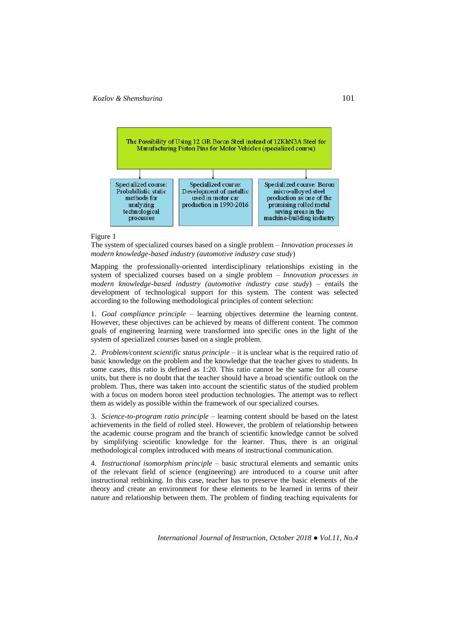

#### Figure 1

The system of specialized courses based on a single problem – *Innovation processes in modern knowledge-based industry (automotive industry case study*)

Mapping the professionally-oriented interdisciplinary relationships existing in the system of specialized courses based on a single problem – *Innovation processes in modern knowledge-based industry (automotive industry case study*) – entails the development of technological support for this system. The content was selected according to the following methodological principles of content selection:

1. *Goal compliance principle* – learning objectives determine the learning content. However, these objectives can be achieved by means of different content. The common goals of engineering learning were transformed into specific ones in the light of the system of specialized courses based on a single problem.

2. *Problem/content scientific status principle* – it is unclear what is the required ratio of basic knowledge on the problem and the knowledge that the teacher gives to students. In some cases, this ratio is defined as 1:20. This ratio cannot be the same for all course units, but there is no doubt that the teacher should have a broad scientific outlook on the problem. Thus, there was taken into account the scientific status of the studied problem with a focus on modern boron steel production technologies. The attempt was to reflect them as widely as possible within the framework of our specialized courses.

3. *Science-to-program ratio principle* – learning content should be based on the latest achievements in the field of rolled steel. However, the problem of relationship between the academic course program and the branch of scientific knowledge cannot be solved by simplifying scientific knowledge for the learner. Thus, there is an original methodological complex introduced with means of instructional communication.

4. *Instructional isomorphism principle* – basic structural elements and semantic units of the relevant field of science (engineering) are introduced to a course unit after instructional rethinking. In this case, teacher has to preserve the basic elements of the theory and create an environment for these elements to be learned in terms of their nature and relationship between them. The problem of finding teaching equivalents for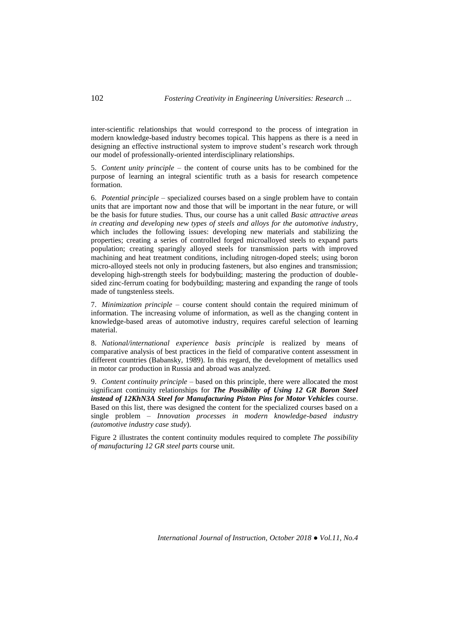inter-scientific relationships that would correspond to the process of integration in modern knowledge-based industry becomes topical. This happens as there is a need in designing an effective instructional system to improve student's research work through our model of professionally-oriented interdisciplinary relationships.

5. *Content unity principle* – the content of course units has to be combined for the purpose of learning an integral scientific truth as a basis for research competence formation.

6. *Potential principle* – specialized courses based on a single problem have to contain units that are important now and those that will be important in the near future, or will be the basis for future studies. Thus, our course has a unit called *Basic attractive areas in creating and developing new types of steels and alloys for the automotive industry*, which includes the following issues: developing new materials and stabilizing the properties; creating a series of controlled forged microalloyed steels to expand parts population; creating sparingly alloyed steels for transmission parts with improved machining and heat treatment conditions, including nitrogen-doped steels; using boron micro-alloyed steels not only in producing fasteners, but also engines and transmission; developing high-strength steels for bodybuilding; mastering the production of doublesided zinc-ferrum coating for bodybuilding; mastering and expanding the range of tools made of tungstenless steels.

7. *Minimization principle* – course content should contain the required minimum of information. The increasing volume of information, as well as the changing content in knowledge-based areas of automotive industry, requires careful selection of learning material.

8. *National/international experience basis principle* is realized by means of comparative analysis of best practices in the field of comparative content assessment in different countries (Babansky, 1989). In this regard, the development of metallics used in motor car production in Russia and abroad was analyzed.

9. *Content continuity principle* – based on this principle, there were allocated the most significant continuity relationships for *The Possibility of Using 12 GR Boron Steel instead of 12KhN3A Steel for Manufacturing Piston Pins for Motor Vehicles* course. Based on this list, there was designed the content for the specialized courses based on a single problem – *Innovation processes in modern knowledge-based industry (automotive industry case study*).

Figure 2 illustrates the content continuity modules required to complete *The possibility of manufacturing 12 GR steel parts* course unit.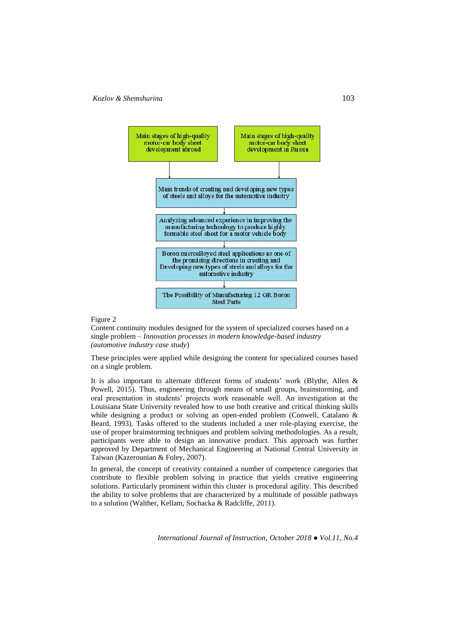

#### Figure 2

Content continuity modules designed for the system of specialized courses based on a single problem – *Innovation processes in modern knowledge-based industry (automotive industry case study*)

These principles were applied while designing the content for specialized courses based on a single problem.

It is also important to alternate different forms of students' work (Blythe, Allen & Powell, 2015). Thus, engineering through means of small groups, brainstorming, and oral presentation in students' projects work reasonable well. An investigation at the Louisiana State University revealed how to use both creative and critical thinking skills while designing a product or solving an open-ended problem (Conwell, Catalano & Beard, 1993). Tasks offered to the students included a user role-playing exercise, the use of proper brainstorming techniques and problem solving methodologies. As a result, participants were able to design an innovative product. This approach was further approved by Department of Mechanical Engineering at National Central University in Taiwan (Kazerounian & Foley, 2007).

In general, the concept of creativity contained a number of competence categories that contribute to flexible problem solving in practice that yields creative engineering solutions. Particularly prominent within this cluster is procedural agility. This described the ability to solve problems that are characterized by a multitude of possible pathways to a solution (Walther, Kellam, Sochacka & Radcliffe, 2011).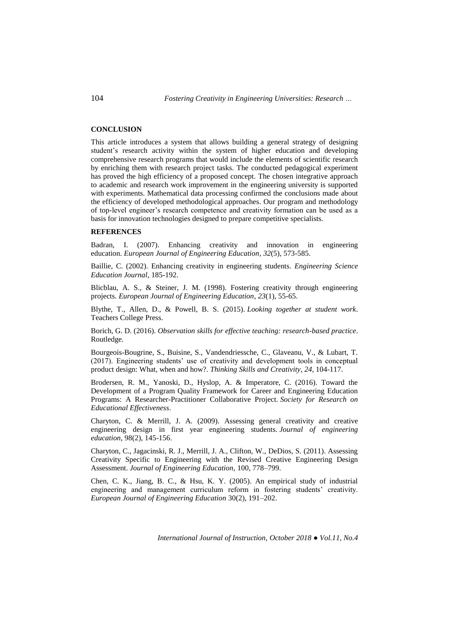104 *Fostering Creativity in Engineering Universities: Research …*

### **CONCLUSION**

This article introduces a system that allows building a general strategy of designing student's research activity within the system of higher education and developing comprehensive research programs that would include the elements of scientific research by enriching them with research project tasks. The conducted pedagogical experiment has proved the high efficiency of a proposed concept. The chosen integrative approach to academic and research work improvement in the engineering university is supported with experiments. Mathematical data processing confirmed the conclusions made about the efficiency of developed methodological approaches. Our program and methodology of top-level engineer's research competence and creativity formation can be used as a basis for innovation technologies designed to prepare competitive specialists.

#### **REFERENCES**

Badran, I. (2007). Enhancing creativity and innovation in engineering education. *European Journal of Engineering Education*, *32*(5), 573-585.

Baillie, C. (2002). Enhancing creativity in engineering students. *Engineering Science Education Journal*, 185-192.

Blicblau, A. S., & Steiner, J. M. (1998). Fostering creativity through engineering projects. *European Journal of Engineering Education*, *23*(1), 55-65.

Blythe, T., Allen, D., & Powell, B. S. (2015). *Looking together at student work*. Teachers College Press.

Borich, G. D. (2016). *Observation skills for effective teaching: research-based practice*. Routledge.

Bourgeois-Bougrine, S., Buisine, S., Vandendriessche, C., Glaveanu, V., & Lubart, T. (2017). Engineering students' use of creativity and development tools in conceptual product design: What, when and how?. *Thinking Skills and Creativity*, *24*, 104-117.

Brodersen, R. M., Yanoski, D., Hyslop, A. & Imperatore, C. (2016). Toward the Development of a Program Quality Framework for Career and Engineering Education Programs: A Researcher-Practitioner Collaborative Project. *Society for Research on Educational Effectiveness*.

Charyton, C. & Merrill, J. A. (2009). Assessing general creativity and creative engineering design in first year engineering students. *Journal of engineering education,* 98(2), 145-156.

Charyton, C., Jagacinski, R. J., Merrill, J. A., Clifton, W., DeDios, S. (2011). Assessing Creativity Specific to Engineering with the Revised Creative Engineering Design Assessment. *Journal of Engineering Education,* 100, 778–799.

Chen, C. K., Jiang, B. C., & Hsu, K. Y. (2005). An empirical study of industrial engineering and management curriculum reform in fostering students' creativity. *European Journal of Engineering Education* 30(2), 191–202.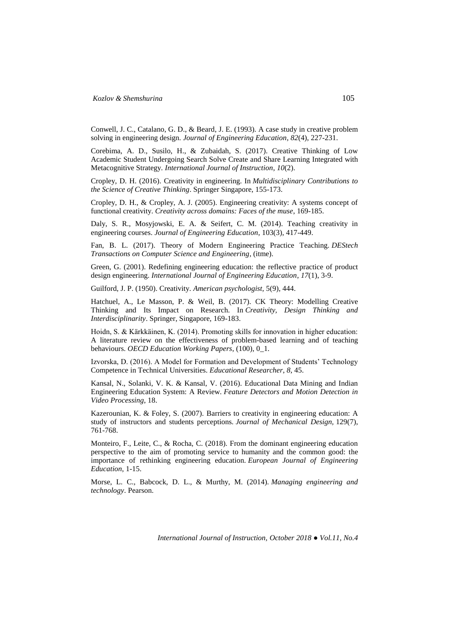Conwell, J. C., Catalano, G. D., & Beard, J. E. (1993). A case study in creative problem solving in engineering design. *Journal of Engineering Education*, *82*(4), 227-231.

Corebima, A. D., Susilo, H., & Zubaidah, S. (2017). Creative Thinking of Low Academic Student Undergoing Search Solve Create and Share Learning Integrated with Metacognitive Strategy. *International Journal of Instruction*, *10*(2).

Cropley, D. H. (2016). Creativity in engineering. In *Multidisciplinary Contributions to the Science of Creative Thinking*. Springer Singapore, 155-173.

Cropley, D. H., & Cropley, A. J. (2005). Engineering creativity: A systems concept of functional creativity. *Creativity across domains: Faces of the muse*, 169-185.

Daly, S. R., Mosyjowski, E. A. & Seifert, C. M. (2014). Teaching creativity in engineering courses. *Journal of Engineering Education*, 103(3), 417-449.

Fan, B. L. (2017). Theory of Modern Engineering Practice Teaching. *DEStech Transactions on Computer Science and Engineering*, (itme).

Green, G. (2001). Redefining engineering education: the reflective practice of product design engineering. *International Journal of Engineering Education*, *17*(1), 3-9.

Guilford, J. P. (1950). Creativity. *American psychologist,* 5(9), 444.

Hatchuel, A., Le Masson, P. & Weil, B. (2017). CK Theory: Modelling Creative Thinking and Its Impact on Research. In *Creativity, Design Thinking and Interdisciplinarity*. Springer, Singapore, 169-183.

Hoidn, S. & Kärkkäinen, K. (2014). Promoting skills for innovation in higher education: A literature review on the effectiveness of problem-based learning and of teaching behaviours. *OECD Education Working Papers*, (100), 0\_1.

Izvorska, D. (2016). A Model for Formation and Development of Students' Technology Competence in Technical Universities. *Educational Researcher*, *8*, 45.

Kansal, N., Solanki, V. K. & Kansal, V. (2016). Educational Data Mining and Indian Engineering Education System: A Review. *Feature Detectors and Motion Detection in Video Processing*, 18.

Kazerounian, K. & Foley, S. (2007). Barriers to creativity in engineering education: A study of instructors and students perceptions. *Journal of Mechanical Design,* 129(7), 761-768.

Monteiro, F., Leite, C., & Rocha, C. (2018). From the dominant engineering education perspective to the aim of promoting service to humanity and the common good: the importance of rethinking engineering education. *European Journal of Engineering Education*, 1-15.

Morse, L. C., Babcock, D. L., & Murthy, M. (2014). *Managing engineering and technology*. Pearson.